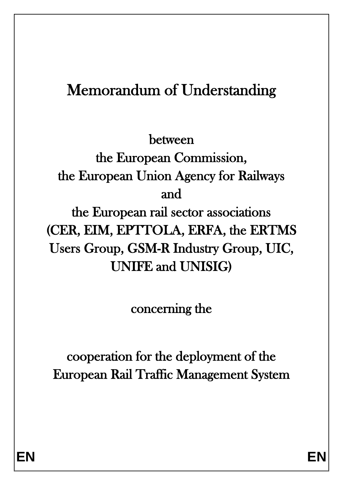# Memorandum of Understanding

between

the European Commission, the European Union Agency for Railways and

the European rail sector associations (CER, EIM, EPTTOLA, ERFA, the ERTMS Users Group, GSM-R Industry Group, UIC, UNIFE and UNISIG)

concerning the

cooperation for the deployment of the European Rail Traffic Management System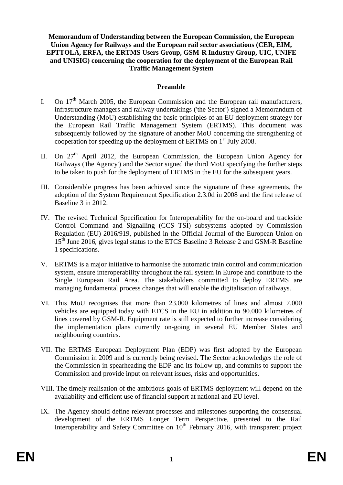**Memorandum of Understanding between the European Commission, the European Union Agency for Railways and the European rail sector associations (CER, EIM, EPTTOLA, ERFA, the ERTMS Users Group, GSM-R Industry Group, UIC, UNIFE and UNISIG) concerning the cooperation for the deployment of the European Rail Traffic Management System**

#### **Preamble**

- I. On  $17<sup>th</sup>$  March 2005, the European Commission and the European rail manufacturers, infrastructure managers and railway undertakings ('the Sector') signed a Memorandum of Understanding (MoU) establishing the basic principles of an EU deployment strategy for the European Rail Traffic Management System (ERTMS). This document was subsequently followed by the signature of another MoU concerning the strengthening of cooperation for speeding up the deployment of ERTMS on 1<sup>st</sup> July 2008.
- II. On  $27<sup>th</sup>$  April 2012, the European Commission, the European Union Agency for Railways ('the Agency') and the Sector signed the third MoU specifying the further steps to be taken to push for the deployment of ERTMS in the EU for the subsequent years.
- III. Considerable progress has been achieved since the signature of these agreements, the adoption of the System Requirement Specification 2.3.0d in 2008 and the first release of Baseline 3 in 2012.
- IV. The revised Technical Specification for Interoperability for the on-board and trackside Control Command and Signalling (CCS TSI) subsystems adopted by Commission Regulation (EU) 2016/919, published in the Official Journal of the European Union on 15<sup>th</sup> June 2016, gives legal status to the ETCS Baseline 3 Release 2 and GSM-R Baseline 1 specifications.
- V. ERTMS is a major initiative to harmonise the automatic train control and communication system, ensure interoperability throughout the rail system in Europe and contribute to the Single European Rail Area. The stakeholders committed to deploy ERTMS are managing fundamental process changes that will enable the digitalisation of railways.
- VI. This MoU recognises that more than 23.000 kilometres of lines and almost 7.000 vehicles are equipped today with ETCS in the EU in addition to 90.000 kilometres of lines covered by GSM-R. Equipment rate is still expected to further increase considering the implementation plans currently on-going in several EU Member States and neighbouring countries.
- VII. The ERTMS European Deployment Plan (EDP) was first adopted by the European Commission in 2009 and is currently being revised. The Sector acknowledges the role of the Commission in spearheading the EDP and its follow up, and commits to support the Commission and provide input on relevant issues, risks and opportunities.
- VIII. The timely realisation of the ambitious goals of ERTMS deployment will depend on the availability and efficient use of financial support at national and EU level.
- IX. The Agency should define relevant processes and milestones supporting the consensual development of the ERTMS Longer Term Perspective, presented to the Rail Interoperability and Safety Committee on  $10<sup>th</sup>$  February 2016, with transparent project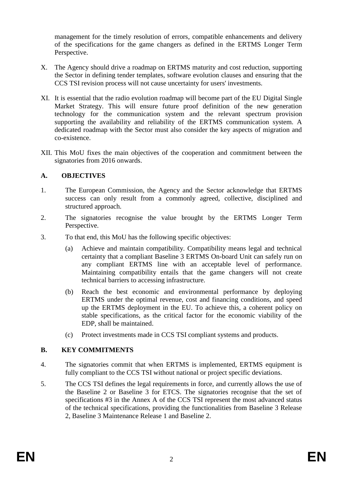management for the timely resolution of errors, compatible enhancements and delivery of the specifications for the game changers as defined in the ERTMS Longer Term Perspective.

- X. The Agency should drive a roadmap on ERTMS maturity and cost reduction, supporting the Sector in defining tender templates, software evolution clauses and ensuring that the CCS TSI revision process will not cause uncertainty for users' investments.
- XI. It is essential that the radio evolution roadmap will become part of the EU Digital Single Market Strategy. This will ensure future proof definition of the new generation technology for the communication system and the relevant spectrum provision supporting the availability and reliability of the ERTMS communication system. A dedicated roadmap with the Sector must also consider the key aspects of migration and co-existence.
- XII. This MoU fixes the main objectives of the cooperation and commitment between the signatories from 2016 onwards.

### **A. OBJECTIVES**

- 1. The European Commission, the Agency and the Sector acknowledge that ERTMS success can only result from a commonly agreed, collective, disciplined and structured approach.
- 2. The signatories recognise the value brought by the ERTMS Longer Term Perspective.
- 3. To that end, this MoU has the following specific objectives:
	- (a) Achieve and maintain compatibility. Compatibility means legal and technical certainty that a compliant Baseline 3 ERTMS On-board Unit can safely run on any compliant ERTMS line with an acceptable level of performance. Maintaining compatibility entails that the game changers will not create technical barriers to accessing infrastructure.
	- (b) Reach the best economic and environmental performance by deploying ERTMS under the optimal revenue, cost and financing conditions, and speed up the ERTMS deployment in the EU. To achieve this, a coherent policy on stable specifications, as the critical factor for the economic viability of the EDP, shall be maintained.
	- (c) Protect investments made in CCS TSI compliant systems and products.

### **B. KEY COMMITMENTS**

- 4. The signatories commit that when ERTMS is implemented, ERTMS equipment is fully compliant to the CCS TSI without national or project specific deviations.
- 5. The CCS TSI defines the legal requirements in force, and currently allows the use of the Baseline 2 or Baseline 3 for ETCS. The signatories recognise that the set of specifications #3 in the Annex A of the CCS TSI represent the most advanced status of the technical specifications, providing the functionalities from Baseline 3 Release 2, Baseline 3 Maintenance Release 1 and Baseline 2.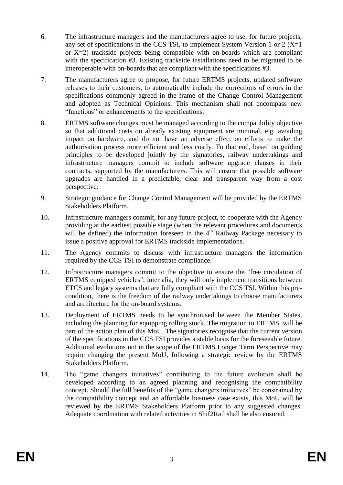- 6. The infrastructure managers and the manufacturers agree to use, for future projects, any set of specifications in the CCS TSI, to implement System Version 1 or 2 ( $X=1$ ) or  $X=2$ ) trackside projects being compatible with on-boards which are compliant with the specification #3. Existing trackside installations need to be migrated to be interoperable with on-boards that are compliant with the specifications #3.
- 7. The manufacturers agree to propose, for future ERTMS projects, updated software releases to their customers, to automatically include the corrections of errors in the specifications commonly agreed in the frame of the Change Control Management and adopted as Technical Opinions. This mechanism shall not encompass new "functions" or enhancements to the specifications.
- 8. ERTMS software changes must be managed according to the compatibility objective so that additional costs on already existing equipment are minimal, e.g. avoiding impact on hardware, and do not have an adverse effect on efforts to make the authorisation process more efficient and less costly. To that end, based on guiding principles to be developed jointly by the signatories, railway undertakings and infrastructure managers commit to include software upgrade clauses in their contracts, supported by the manufacturers. This will ensure that possible software upgrades are handled in a predictable, clear and transparent way from a cost perspective.
- 9. Strategic guidance for Change Control Management will be provided by the ERTMS Stakeholders Platform.
- 10. Infrastructure managers commit, for any future project, to cooperate with the Agency providing at the earliest possible stage (when the relevant procedures and documents will be defined) the information foreseen in the  $4<sup>th</sup>$  Railway Package necessary to issue a positive approval for ERTMS trackside implementations.
- 11. The Agency commits to discuss with infrastructure managers the information required by the CCS TSI to demonstrate compliance.
- 12. Infrastructure managers commit to the objective to ensure the "free circulation of ERTMS equipped vehicles"; inter alia, they will only implement transitions between ETCS and legacy systems that are fully compliant with the CCS TSI. Within this precondition, there is the freedom of the railway undertakings to choose manufacturers and architecture for the on-board systems.
- 13. Deployment of ERTMS needs to be synchronised between the Member States, including the planning for equipping rolling stock. The migration to ERTMS will be part of the action plan of this MoU. The signatories recognise that the current version of the specifications in the CCS TSI provides a stable basis for the foreseeable future. Additional evolutions not in the scope of the ERTMS Longer Term Perspective may require changing the present MoU, following a strategic review by the ERTMS Stakeholders Platform.
- 14. The "game changers initiatives" contributing to the future evolution shall be developed according to an agreed planning and recognising the compatibility concept. Should the full benefits of the "game changers initiatives" be constrained by the compatibility concept and an affordable business case exists, this MoU will be reviewed by the ERTMS Stakeholders Platform prior to any suggested changes. Adequate coordination with related activities in Shif2Rail shall be also ensured.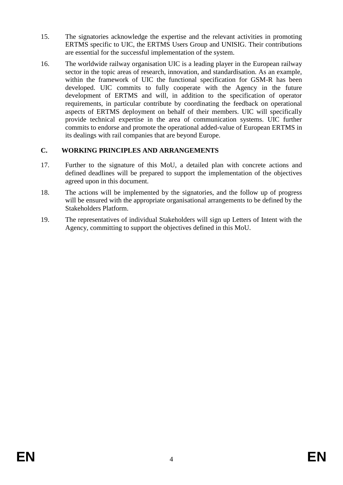- 15. The signatories acknowledge the expertise and the relevant activities in promoting ERTMS specific to UIC, the ERTMS Users Group and UNISIG. Their contributions are essential for the successful implementation of the system.
- 16. The worldwide railway organisation UIC is a leading player in the European railway sector in the topic areas of research, innovation, and standardisation. As an example, within the framework of UIC the functional specification for GSM-R has been developed. UIC commits to fully cooperate with the Agency in the future development of ERTMS and will, in addition to the specification of operator requirements, in particular contribute by coordinating the feedback on operational aspects of ERTMS deployment on behalf of their members. UIC will specifically provide technical expertise in the area of communication systems. UIC further commits to endorse and promote the operational added-value of European ERTMS in its dealings with rail companies that are beyond Europe.

## **C. WORKING PRINCIPLES AND ARRANGEMENTS**

- 17. Further to the signature of this MoU, a detailed plan with concrete actions and defined deadlines will be prepared to support the implementation of the objectives agreed upon in this document.
- 18. The actions will be implemented by the signatories, and the follow up of progress will be ensured with the appropriate organisational arrangements to be defined by the Stakeholders Platform.
- 19. The representatives of individual Stakeholders will sign up Letters of Intent with the Agency, committing to support the objectives defined in this MoU.